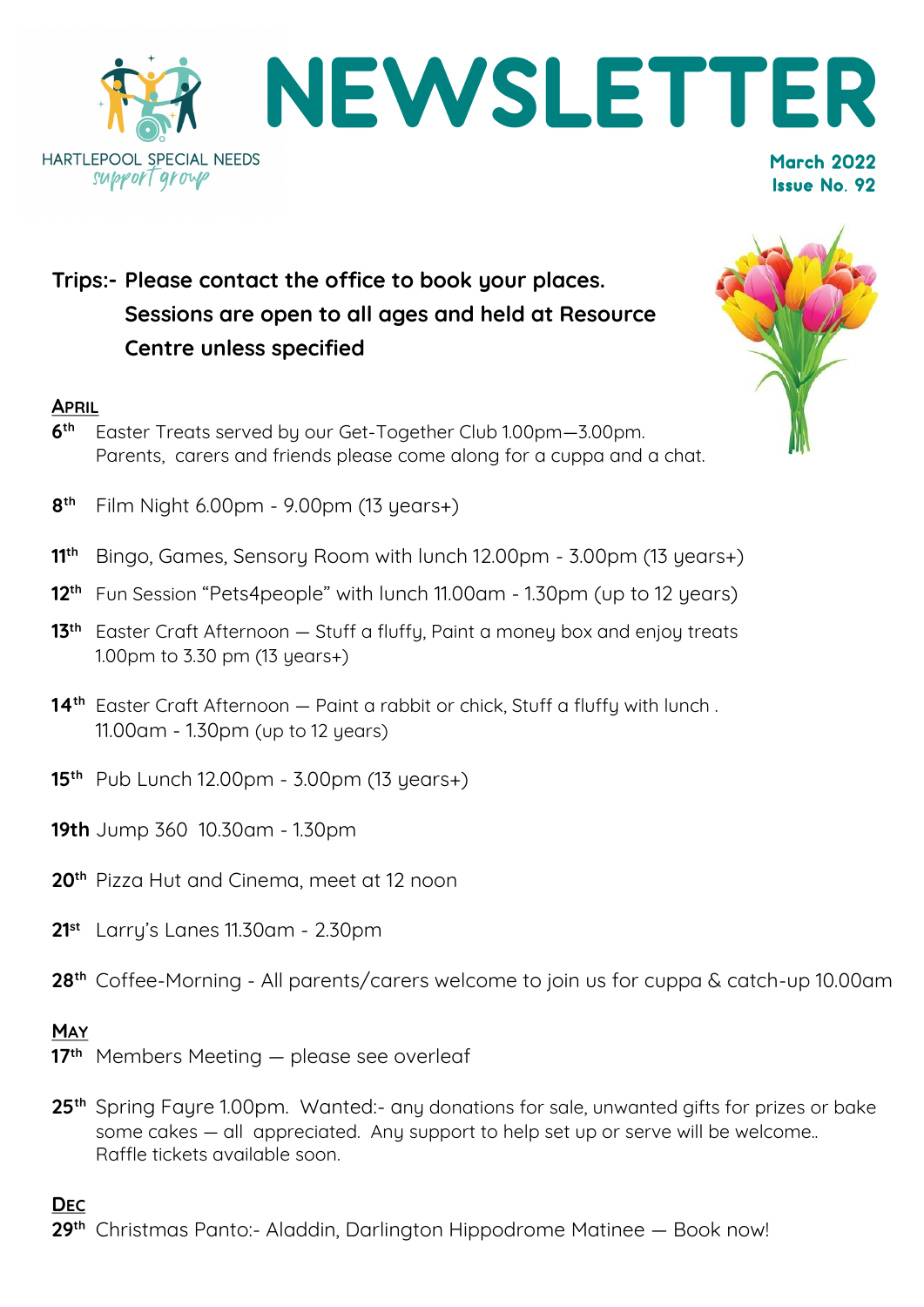

# **Trips:- Please contact the office to book your places. Sessions are open to all ages and held at Resource Centre unless specified**

#### **APRIL**

**6 th** Easter Treats served by our Get-Together Club 1.00pm—3.00pm. Parents, carers and friends please come along for a cuppa and a chat.



- **8 th** Film Night 6.00pm - 9.00pm (13 years+)
- **11th** Bingo, Games, Sensory Room with lunch 12.00pm 3.00pm (13 years+)
- **12th** Fun Session "Pets4people" with lunch 11.00am 1.30pm (up to 12 years)
- **13<sup>th</sup>** Easter Craft Afternoon Stuff a fluffy, Paint a money box and enjoy treats 1.00pm to 3.30 pm (13 years+)
- **14th** Easter Craft Afternoon Paint a rabbit or chick, Stuff a fluffy with lunch . 11.00am - 1.30pm (up to 12 years)
- **15th** Pub Lunch 12.00pm 3.00pm (13 years+)
- **19th** Jump 360 10.30am 1.30pm
- **20th** Pizza Hut and Cinema, meet at 12 noon
- **21st** Larry's Lanes 11.30am 2.30pm
- **28th** Coffee-Morning All parents/carers welcome to join us for cuppa & catch-up 10.00am

#### **MAY**

- **17th** Members Meeting please see overleaf
- **25th** Spring Fayre 1.00pm. Wanted:- any donations for sale, unwanted gifts for prizes or bake some cakes — all appreciated. Any support to help set up or serve will be welcome.. Raffle tickets available soon.

#### **DEC**

**29th** Christmas Panto:- Aladdin, Darlington Hippodrome Matinee — Book now!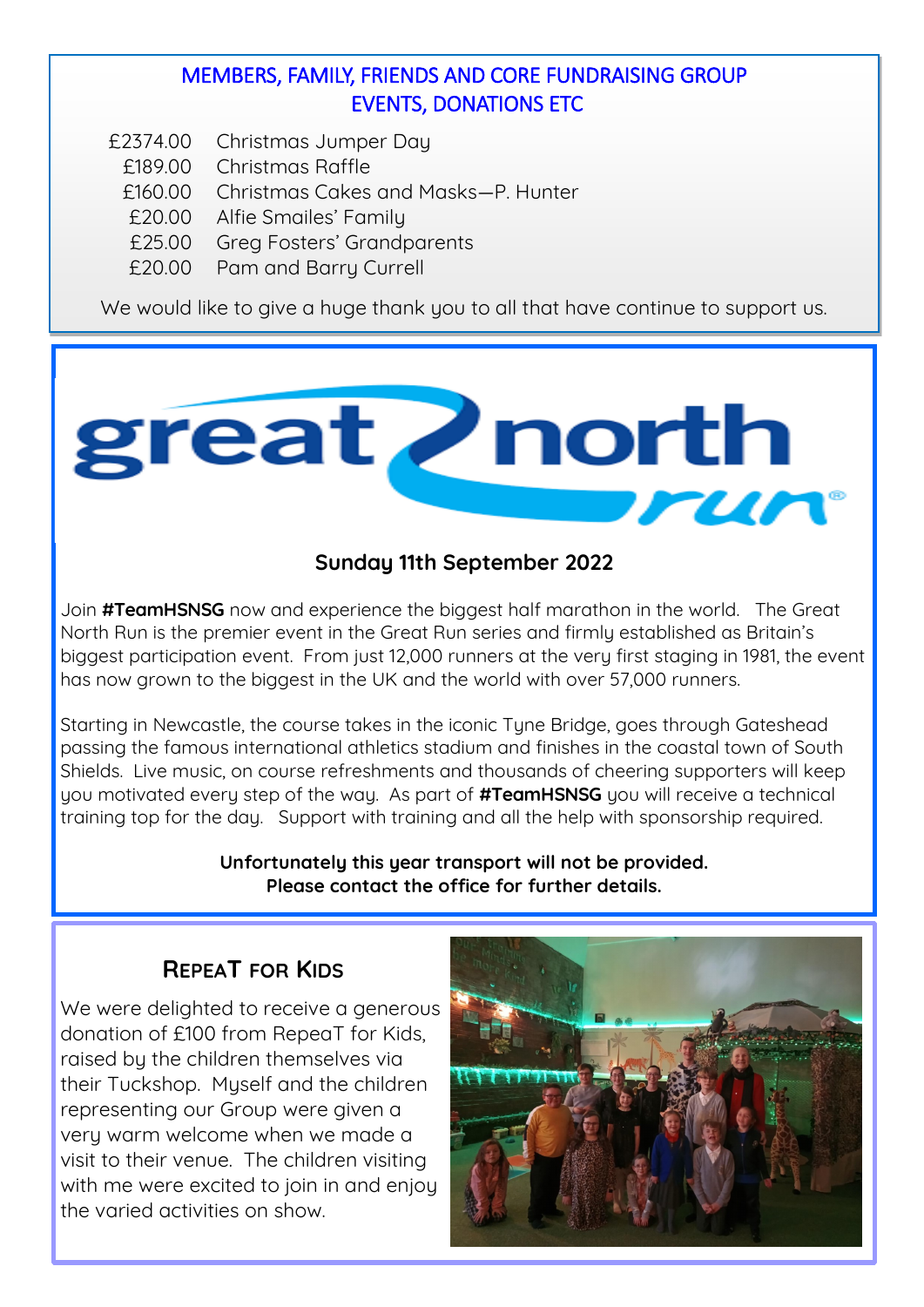### MEMBERS, FAMILY, FRIENDS AND CORE FUNDRAISING GROUP EVENTS, DONATIONS ETC

- £2374.00 Christmas Jumper Day
	- £189.00 Christmas Raffle
	- £160.00 Christmas Cakes and Masks—P. Hunter
	- £20.00 Alfie Smailes' Family
	- £25.00 Greg Fosters' Grandparents
	- £20.00 Pam and Barry Currell

We would like to give a huge thank you to all that have continue to support us.



### **Sunday 11th September 2022**

Join **#TeamHSNSG** now and experience the biggest half marathon in the world. The Great North Run is the premier event in the Great Run series and firmly established as Britain's biggest participation event. From just 12,000 runners at the very first staging in 1981, the event has now grown to the biggest in the UK and the world with over 57,000 runners.

Starting in Newcastle, the course takes in the iconic Tyne Bridge, goes through Gateshead passing the famous international athletics stadium and finishes in the coastal town of South Shields. Live music, on course refreshments and thousands of cheering supporters will keep you motivated every step of the way. As part of **#TeamHSNSG** you will receive a technical training top for the day. Support with training and all the help with sponsorship required.

> **Unfortunately this year transport will not be provided. Please contact the office for further details.**

### **REPEAT FOR KIDS**

We were delighted to receive a generous donation of £100 from RepeaT for Kids, raised by the children themselves via their Tuckshop. Myself and the children representing our Group were given a very warm welcome when we made a visit to their venue. The children visiting with me were excited to join in and enjoy the varied activities on show.